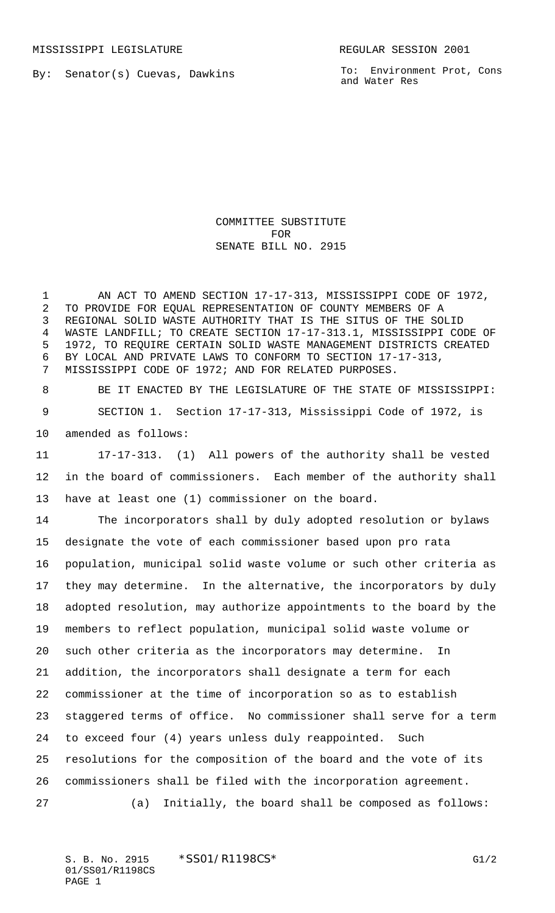By: Senator(s) Cuevas, Dawkins

To: Environment Prot, Cons and Water Res

## COMMITTEE SUBSTITUTE FOR SENATE BILL NO. 2915

1 AN ACT TO AMEND SECTION 17-17-313, MISSISSIPPI CODE OF 1972, TO PROVIDE FOR EQUAL REPRESENTATION OF COUNTY MEMBERS OF A REGIONAL SOLID WASTE AUTHORITY THAT IS THE SITUS OF THE SOLID WASTE LANDFILL; TO CREATE SECTION 17-17-313.1, MISSISSIPPI CODE OF 1972, TO REQUIRE CERTAIN SOLID WASTE MANAGEMENT DISTRICTS CREATED BY LOCAL AND PRIVATE LAWS TO CONFORM TO SECTION 17-17-313, MISSISSIPPI CODE OF 1972; AND FOR RELATED PURPOSES.

 BE IT ENACTED BY THE LEGISLATURE OF THE STATE OF MISSISSIPPI: SECTION 1. Section 17-17-313, Mississippi Code of 1972, is amended as follows:

 17-17-313. (1) All powers of the authority shall be vested in the board of commissioners. Each member of the authority shall have at least one (1) commissioner on the board.

 The incorporators shall by duly adopted resolution or bylaws designate the vote of each commissioner based upon pro rata population, municipal solid waste volume or such other criteria as they may determine. In the alternative, the incorporators by duly adopted resolution, may authorize appointments to the board by the members to reflect population, municipal solid waste volume or such other criteria as the incorporators may determine. In addition, the incorporators shall designate a term for each commissioner at the time of incorporation so as to establish staggered terms of office. No commissioner shall serve for a term to exceed four (4) years unless duly reappointed. Such resolutions for the composition of the board and the vote of its commissioners shall be filed with the incorporation agreement.

(a) Initially, the board shall be composed as follows:

S. B. No. 2915 \* SSO1/R1198CS\* G1/2 01/SS01/R1198CS PAGE 1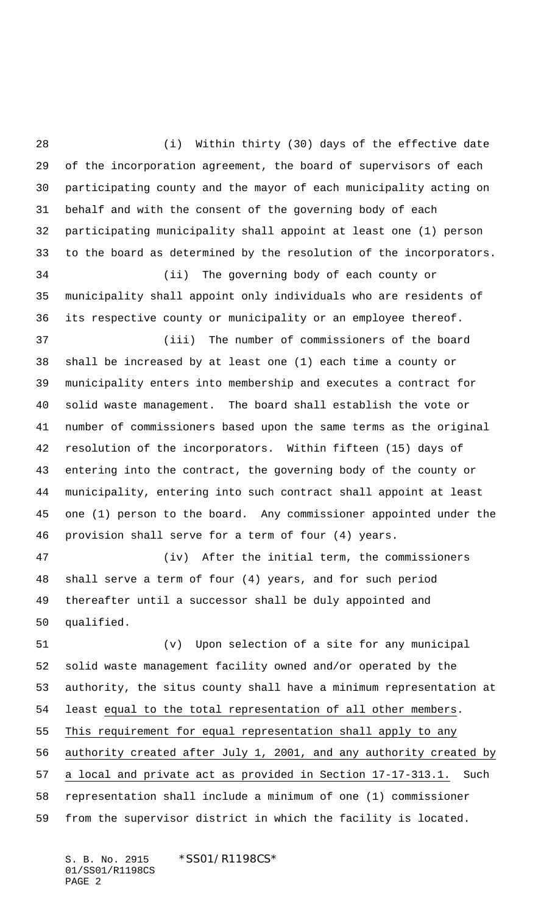(i) Within thirty (30) days of the effective date of the incorporation agreement, the board of supervisors of each participating county and the mayor of each municipality acting on behalf and with the consent of the governing body of each participating municipality shall appoint at least one (1) person to the board as determined by the resolution of the incorporators. (ii) The governing body of each county or municipality shall appoint only individuals who are residents of its respective county or municipality or an employee thereof. (iii) The number of commissioners of the board shall be increased by at least one (1) each time a county or municipality enters into membership and executes a contract for solid waste management. The board shall establish the vote or number of commissioners based upon the same terms as the original resolution of the incorporators. Within fifteen (15) days of entering into the contract, the governing body of the county or municipality, entering into such contract shall appoint at least one (1) person to the board. Any commissioner appointed under the provision shall serve for a term of four (4) years. (iv) After the initial term, the commissioners shall serve a term of four (4) years, and for such period thereafter until a successor shall be duly appointed and qualified.

 (v) Upon selection of a site for any municipal solid waste management facility owned and/or operated by the authority, the situs county shall have a minimum representation at least equal to the total representation of all other members. 55 This requirement for equal representation shall apply to any authority created after July 1, 2001, and any authority created by a local and private act as provided in Section 17-17-313.1. Such representation shall include a minimum of one (1) commissioner from the supervisor district in which the facility is located.

S. B. No. 2915 \* SS01/R1198CS\* 01/SS01/R1198CS PAGE 2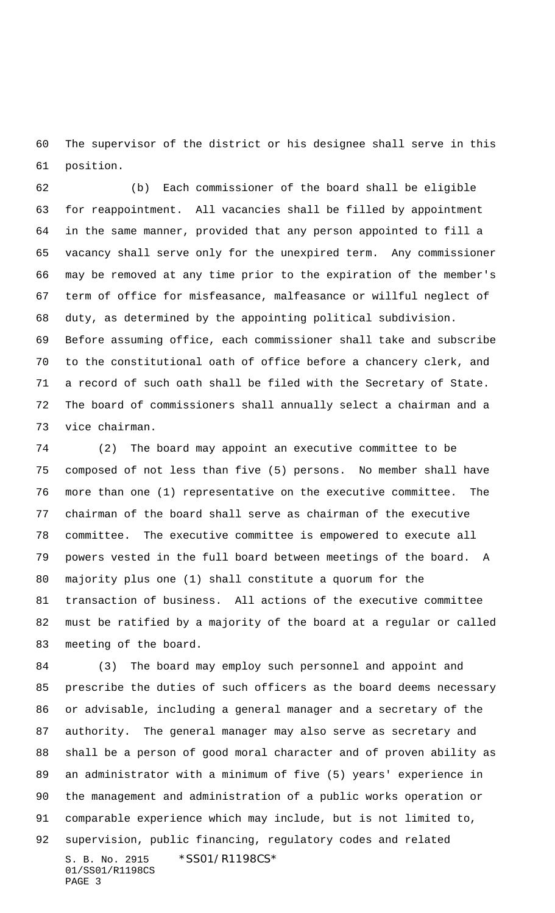The supervisor of the district or his designee shall serve in this position.

 (b) Each commissioner of the board shall be eligible for reappointment. All vacancies shall be filled by appointment in the same manner, provided that any person appointed to fill a vacancy shall serve only for the unexpired term. Any commissioner may be removed at any time prior to the expiration of the member's term of office for misfeasance, malfeasance or willful neglect of duty, as determined by the appointing political subdivision. Before assuming office, each commissioner shall take and subscribe to the constitutional oath of office before a chancery clerk, and a record of such oath shall be filed with the Secretary of State. The board of commissioners shall annually select a chairman and a

vice chairman.

 (2) The board may appoint an executive committee to be composed of not less than five (5) persons. No member shall have more than one (1) representative on the executive committee. The chairman of the board shall serve as chairman of the executive committee. The executive committee is empowered to execute all powers vested in the full board between meetings of the board. A majority plus one (1) shall constitute a quorum for the transaction of business. All actions of the executive committee must be ratified by a majority of the board at a regular or called meeting of the board.

S. B. No. 2915 \* SS01/R1198CS\* 01/SS01/R1198CS PAGE 3 (3) The board may employ such personnel and appoint and prescribe the duties of such officers as the board deems necessary or advisable, including a general manager and a secretary of the authority. The general manager may also serve as secretary and shall be a person of good moral character and of proven ability as an administrator with a minimum of five (5) years' experience in the management and administration of a public works operation or comparable experience which may include, but is not limited to, supervision, public financing, regulatory codes and related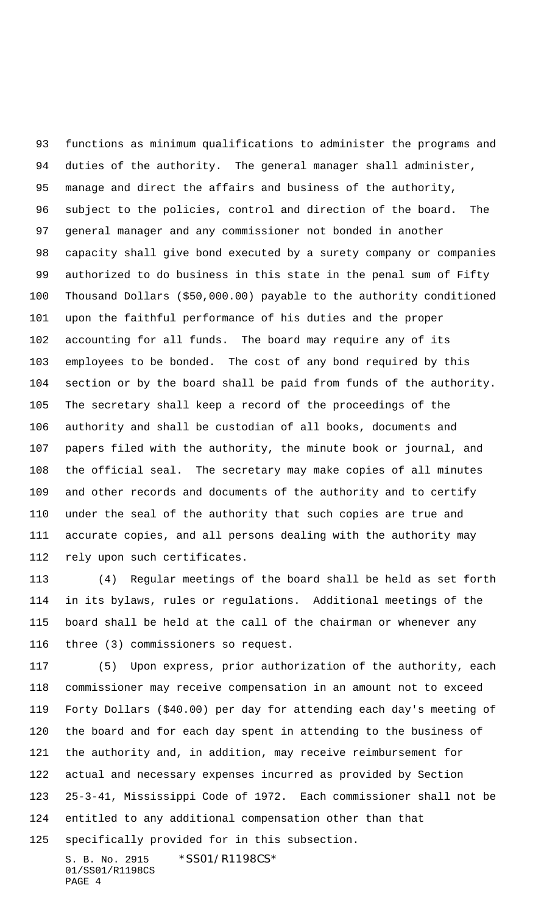functions as minimum qualifications to administer the programs and duties of the authority. The general manager shall administer, manage and direct the affairs and business of the authority, subject to the policies, control and direction of the board. The general manager and any commissioner not bonded in another capacity shall give bond executed by a surety company or companies authorized to do business in this state in the penal sum of Fifty Thousand Dollars (\$50,000.00) payable to the authority conditioned upon the faithful performance of his duties and the proper accounting for all funds. The board may require any of its employees to be bonded. The cost of any bond required by this section or by the board shall be paid from funds of the authority. The secretary shall keep a record of the proceedings of the authority and shall be custodian of all books, documents and papers filed with the authority, the minute book or journal, and the official seal. The secretary may make copies of all minutes and other records and documents of the authority and to certify under the seal of the authority that such copies are true and accurate copies, and all persons dealing with the authority may rely upon such certificates.

 (4) Regular meetings of the board shall be held as set forth in its bylaws, rules or regulations. Additional meetings of the board shall be held at the call of the chairman or whenever any three (3) commissioners so request.

S. B. No. 2915 \* SS01/R1198CS\* (5) Upon express, prior authorization of the authority, each commissioner may receive compensation in an amount not to exceed Forty Dollars (\$40.00) per day for attending each day's meeting of the board and for each day spent in attending to the business of the authority and, in addition, may receive reimbursement for actual and necessary expenses incurred as provided by Section 25-3-41, Mississippi Code of 1972. Each commissioner shall not be entitled to any additional compensation other than that specifically provided for in this subsection.

01/SS01/R1198CS PAGE 4